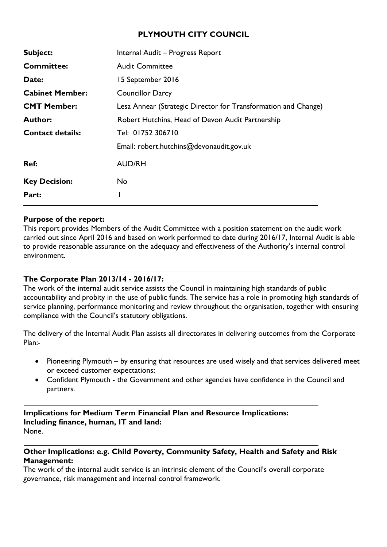# **PLYMOUTH CITY COUNCIL**

| Subject:                | Internal Audit - Progress Report                               |
|-------------------------|----------------------------------------------------------------|
| <b>Committee:</b>       | <b>Audit Committee</b>                                         |
| Date:                   | 15 September 2016                                              |
| <b>Cabinet Member:</b>  | <b>Councillor Darcy</b>                                        |
| <b>CMT Member:</b>      | Lesa Annear (Strategic Director for Transformation and Change) |
| <b>Author:</b>          | Robert Hutchins, Head of Devon Audit Partnership               |
| <b>Contact details:</b> | Tel: 01752 306710                                              |
|                         | Email: robert.hutchins@devonaudit.gov.uk                       |
| Ref:                    | <b>AUD/RH</b>                                                  |
| <b>Key Decision:</b>    | No                                                             |
| Part:                   |                                                                |

#### **Purpose of the report:**

This report provides Members of the Audit Committee with a position statement on the audit work carried out since April 2016 and based on work performed to date during 2016/17, Internal Audit is able to provide reasonable assurance on the adequacy and effectiveness of the Authority's internal control environment.

### **The Corporate Plan 2013/14 - 2016/17:**

The work of the internal audit service assists the Council in maintaining high standards of public accountability and probity in the use of public funds. The service has a role in promoting high standards of service planning, performance monitoring and review throughout the organisation, together with ensuring compliance with the Council's statutory obligations.

The delivery of the Internal Audit Plan assists all directorates in delivering outcomes from the Corporate Plan:-

- Pioneering Plymouth by ensuring that resources are used wisely and that services delivered meet or exceed customer expectations;
- Confident Plymouth the Government and other agencies have confidence in the Council and partners.

**Implications for Medium Term Financial Plan and Resource Implications: Including finance, human, IT and land:** None.

### **Other Implications: e.g. Child Poverty, Community Safety, Health and Safety and Risk Management:**

The work of the internal audit service is an intrinsic element of the Council's overall corporate governance, risk management and internal control framework.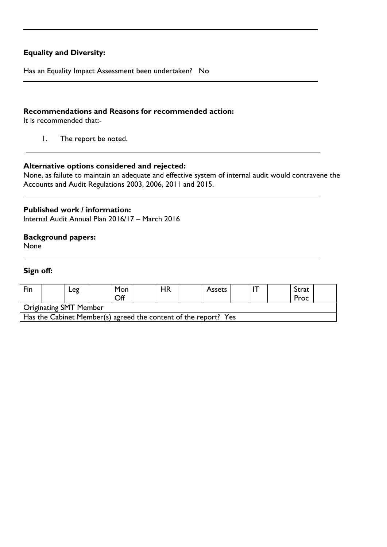## **Equality and Diversity:**

Has an Equality Impact Assessment been undertaken? No

### **Recommendations and Reasons for recommended action:**

It is recommended that:-

1. The report be noted.

#### **Alternative options considered and rejected:**

None, as failute to maintain an adequate and effective system of internal audit would contravene the Accounts and Audit Regulations 2003, 2006, 2011 and 2015.

#### **Published work / information:**

Internal Audit Annual Plan 2016/17 – March 2016

# **Background papers:**

None

#### **Sign off:**

| Fin                                                             |  | Leg |  | Mon<br>Off |  | HR |  | <b>Assets</b> |  |  |  | Strat<br>Proc |  |
|-----------------------------------------------------------------|--|-----|--|------------|--|----|--|---------------|--|--|--|---------------|--|
| <b>Originating SMT Member</b>                                   |  |     |  |            |  |    |  |               |  |  |  |               |  |
| Has the Cabinet Member(s) agreed the content of the report? Yes |  |     |  |            |  |    |  |               |  |  |  |               |  |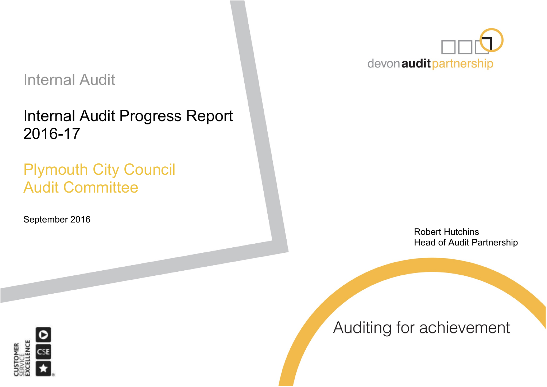# Internal Audit

Internal Audit Progress Report 2016-17

# Plymouth City Council Audit Committee

September 2016



Robert Hutchins Head of Audit Partnership



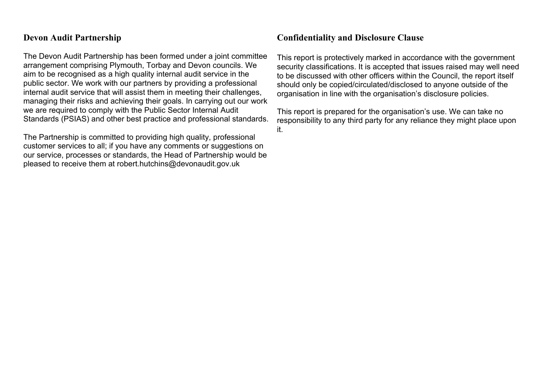# **Devon Audit Partnership**

The Devon Audit Partnership has been formed under a joint committee arrangement comprising Plymouth, Torbay and Devon councils. We aim to be recognised as a high quality internal audit service in the public sector. We work with our partners by providing a professional internal audit service that will assist them in meeting their challenges, managing their risks and achieving their goals. In carrying out our work we are required to comply with the Public Sector Internal Audit Standards (PSIAS) and other best practice and professional standards.

The Partnership is committed to providing high quality, professional customer services to all; if you have any comments or suggestions on our service, processes or standards, the Head of Partnership would be pleased to receive them at robert.hutchins@devonaudit.gov.uk

# **Confidentiality and Disclosure Clause**

This report is protectively marked in accordance with the government security classifications. It is accepted that issues raised may well need to be discussed with other officers within the Council, the report itself should only be copied/circulated/disclosed to anyone outside of the organisation in line with the organisation's disclosure policies.

This report is prepared for the organisation's use. We can take no responsibility to any third party for any reliance they might place upon it.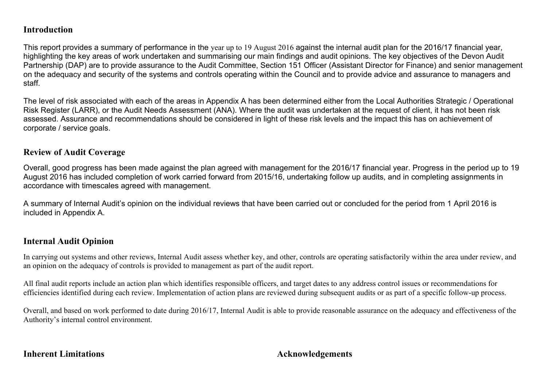# **Introduction**

This report provides a summary of performance in the year up to 19 August 2016 against the internal audit plan for the 2016/17 financial year, highlighting the key areas of work undertaken and summarising our main findings and audit opinions. The key objectives of the Devon Audit Partnership (DAP) are to provide assurance to the Audit Committee, Section 151 Officer (Assistant Director for Finance) and senior management on the adequacy and security of the systems and controls operating within the Council and to provide advice and assurance to managers and staff.

The level of risk associated with each of the areas in Appendix A has been determined either from the Local Authorities Strategic / Operational Risk Register (LARR), or the Audit Needs Assessment (ANA). Where the audit was undertaken at the request of client, it has not been risk assessed. Assurance and recommendations should be considered in light of these risk levels and the impact this has on achievement of corporate / service goals.

# **Review of Audit Coverage**

Overall, good progress has been made against the plan agreed with management for the 2016/17 financial year. Progress in the period up to 19 August 2016 has included completion of work carried forward from 2015/16, undertaking follow up audits, and in completing assignments in accordance with timescales agreed with management.

A summary of Internal Audit's opinion on the individual reviews that have been carried out or concluded for the period from 1 April 2016 is included in Appendix A.

# **Internal Audit Opinion**

In carrying out systems and other reviews, Internal Audit assess whether key, and other, controls are operating satisfactorily within the area under review, and an opinion on the adequacy of controls is provided to management as part of the audit report.

All final audit reports include an action plan which identifies responsible officers, and target dates to any address control issues or recommendations for efficiencies identified during each review. Implementation of action plans are reviewed during subsequent audits or as part of a specific follow-up process.

Overall, and based on work performed to date during 2016/17, Internal Audit is able to provide reasonable assurance on the adequacy and effectiveness of the Authority's internal control environment.

# **Inherent Limitations Acknowledgements**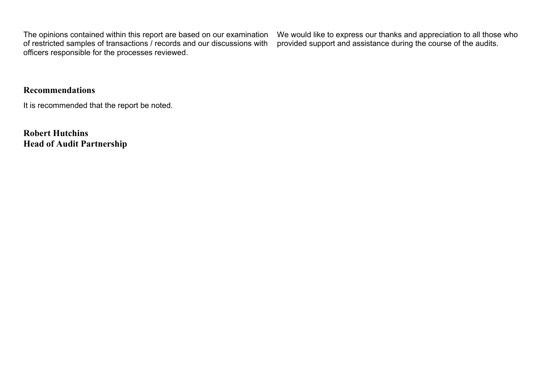The opinions contained within this report are based on our examination of restricted samples of transactions / records and our discussions with officers responsible for the processes reviewed.

We would like to express our thanks and appreciation to all those who provided support and assistance during the course of the audits.

# **Recommendations**

It is recommended that the report be noted.

**Robert Hutchins Head of Audit Partnership**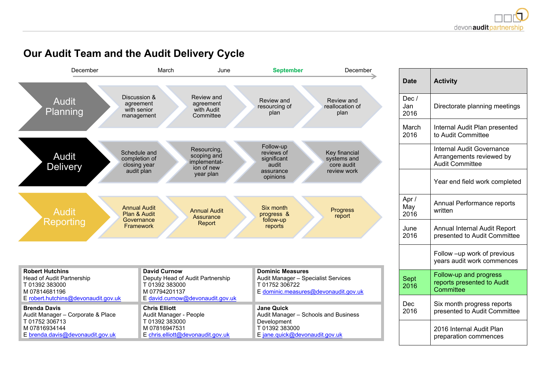#### **Date Activity** Dec / Jan 2016 Directorate planning meetings March 2016 Internal Audit Plan presented to Audit Committee Internal Audit Governance Arrangements reviewed by Audit Committee Year end field work completed Apr / May 2016 Annual Performance reports written June 2016 Annual Internal Audit Report presented to Audit Committee Follow –up work of previous years audit work commences Sept 2016 Follow-up and progress reports presented to Audit **Committee** Dec 2016 Six month progress reports presented to Audit Committee 2016 Internal Audit Plan preparation commences **Robert Hutchins** Head of Audit Partnership T 01392 383000 M 07814681196 E [robert.hutchins@devonaudit.gov.uk](mailto:robert.hutchins@devonaudit.gov.uk) **David Curnow** Deputy Head of Audit Partnership T 01392 383000 M 07794201137 E [david.curnow@devonaudit.gov.uk](mailto:david.curnow@devonaudit.gov.uk) **Dominic Measures** Audit Manager – Specialist Services T 01752 306722 E [dominic.measures@devonaudit.gov.uk](mailto:dominic.measures@devonaudit.gov.uk) **Brenda Davis** Audit Manager – Corporate & Place T 01752 306713 M 07816934144 E [brenda.davis@devonaudit.gov.uk](mailto:brenda.davis@devonaudit.gov.uk) **Chris Elliott** Audit Manager - People T 01392 383000 M 07816947531 E [chris.elliott@devonaudit.gov.uk](mailto:chris.elliott@devonaudit.gov.uk) **Jane Quick** Audit Manager – Schools and Business Development T 01392 383000 E [jane.quick@devonaudit.gov.uk](mailto:jane.quick@devonaudit.gov.uk) December March June **September** December Audit Planning Discussion & agreement with senior management Review and agreement with Audit **Committee** Review and resourcing of plan Review and reallocation of plan Audit **Delivery** Schedule and completion of closing year audit plan Resourcing, scoping and implementation of new year plan Follow-up reviews of significant audit assurance opinions Key financial systems and core audit review work Audit Reporting Annual Audit Plan & Audit **Governance** Framework Annual Audit **Assurance** Report Six month progress & follow-up reports **Progress** report

# **Our Audit Team and the Audit Delivery Cycle**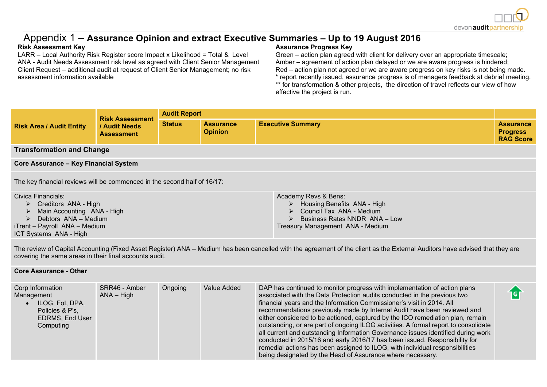

igi

# Appendix 1 – **Assurance Opinion and extract Executive Summaries – Up to 19 August 2016**

LARR – Local Authority Risk Register score Impact x Likelihood = Total & Level ANA - Audit Needs Assessment risk level as agreed with Client Senior Management Client Request – additional audit at request of Client Senior Management; no risk assessment information available

#### **Risk Assessment Key Assurance Progress Key**

Treasury Management ANA - Medium

Green – action plan agreed with client for delivery over an appropriate timescale; Amber – agreement of action plan delayed or we are aware progress is hindered; Red – action plan not agreed or we are aware progress on key risks is not being made. \* report recently issued, assurance progress is of managers feedback at debrief meeting. \*\* for transformation & other projects, the direction of travel reflects our view of how effective the project is run.

| <b>Risk Assessment</b><br><b>Risk Area / Audit Entity</b><br>/ Audit Needs<br><b>Assessment</b>  |                                                                          | <b>Audit Report</b>                |                          |                                                                                                                                     |  |  |  |
|--------------------------------------------------------------------------------------------------|--------------------------------------------------------------------------|------------------------------------|--------------------------|-------------------------------------------------------------------------------------------------------------------------------------|--|--|--|
|                                                                                                  | <b>Status</b>                                                            | <b>Assurance</b><br><b>Opinion</b> | <b>Executive Summary</b> | <b>Assurance</b><br><b>Progress</b><br><b>RAG Score</b>                                                                             |  |  |  |
| <b>Transformation and Change</b>                                                                 |                                                                          |                                    |                          |                                                                                                                                     |  |  |  |
| <b>Core Assurance - Key Financial System</b>                                                     |                                                                          |                                    |                          |                                                                                                                                     |  |  |  |
|                                                                                                  | The key financial reviews will be commenced in the second half of 16/17: |                                    |                          |                                                                                                                                     |  |  |  |
| Civica Financials:<br>Creditors ANA - High<br>Main Accounting ANA - High<br>Debtors ANA - Medium |                                                                          |                                    |                          | Academy Revs & Bens:<br>$\triangleright$ Housing Benefits ANA - High<br>> Council Tax ANA - Medium<br>Business Rates NNDR ANA - Low |  |  |  |

iTrent – Payroll ANA – Medium ICT Systems ANA - High

The review of Capital Accounting (Fixed Asset Register) ANA – Medium has been cancelled with the agreement of the client as the External Auditors have advised that they are covering the same areas in their final accounts audit.

#### **Core Assurance - Other**

| Corp Information<br>Management<br>ILOG, Fol, DPA,<br>Policies & P's,<br><b>EDRMS, End User</b><br>Computing | SRR46 - Amber<br>$ANA - High$ | Ongoing | Value Added | DAP has continued to monitor progress with implementation of action plans<br>associated with the Data Protection audits conducted in the previous two<br>financial years and the Information Commissioner's visit in 2014. All<br>recommendations previously made by Internal Audit have been reviewed and<br>either considered to be actioned, captured by the ICO remediation plan, remain<br>outstanding, or are part of ongoing ILOG activities. A formal report to consolidate<br>all current and outstanding Information Governance issues identified during work<br>conducted in 2015/16 and early 2016/17 has been issued. Responsibility for<br>remedial actions has been assigned to ILOG, with individual responsibilities |  |
|-------------------------------------------------------------------------------------------------------------|-------------------------------|---------|-------------|---------------------------------------------------------------------------------------------------------------------------------------------------------------------------------------------------------------------------------------------------------------------------------------------------------------------------------------------------------------------------------------------------------------------------------------------------------------------------------------------------------------------------------------------------------------------------------------------------------------------------------------------------------------------------------------------------------------------------------------|--|
|                                                                                                             |                               |         |             | being designated by the Head of Assurance where necessary.                                                                                                                                                                                                                                                                                                                                                                                                                                                                                                                                                                                                                                                                            |  |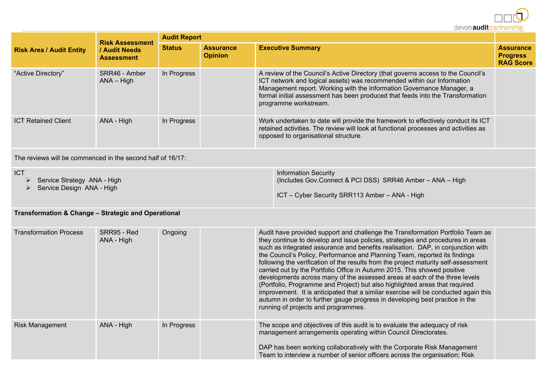

|                                 | <b>Risk Assessment</b><br>/ Audit Needs<br><b>Assessment</b> | <b>Audit Report</b> |                                    |                                                                                                                                                                                                                                                                                                                                                |                                                         |  |  |  |
|---------------------------------|--------------------------------------------------------------|---------------------|------------------------------------|------------------------------------------------------------------------------------------------------------------------------------------------------------------------------------------------------------------------------------------------------------------------------------------------------------------------------------------------|---------------------------------------------------------|--|--|--|
| <b>Risk Area / Audit Entity</b> |                                                              | <b>Status</b>       | <b>Assurance</b><br><b>Opinion</b> | <b>Executive Summary</b>                                                                                                                                                                                                                                                                                                                       | <b>Assurance</b><br><b>Progress</b><br><b>RAG Score</b> |  |  |  |
| "Active Directory"              | SRR46 - Amber<br>$ANA - High$                                | In Progress         |                                    | A review of the Council's Active Directory (that governs access to the Council's<br>ICT network and logical assets) was recommended within our Information<br>Management report. Working with the Information Governance Manager, a<br>formal initial assessment has been produced that feeds into the Transformation<br>programme workstream. |                                                         |  |  |  |
| <b>ICT Retained Client</b>      | ANA - High                                                   | In Progress         |                                    | Work undertaken to date will provide the framework to effectively conduct its ICT<br>retained activities. The review will look at functional processes and activities as<br>opposed to organisational structure.                                                                                                                               |                                                         |  |  |  |

The reviews will be commenced in the second half of 16/17:

| <b>ICT</b>                  | <b>Information Security</b>                               |
|-----------------------------|-----------------------------------------------------------|
| Service Strategy ANA - High | (Includes Gov.Connect & PCI DSS) SRR46 Amber - ANA - High |
| Service Design ANA - High   |                                                           |
|                             | <b>ICT</b> – Cyber Security SRR113 Amber – ANA - High     |

# **Transformation & Change – Strategic and Operational**

| <b>Transformation Process</b> | SRR95 - Red<br>ANA - High | Ongoing     | Audit have provided support and challenge the Transformation Portfolio Team as<br>they continue to develop and issue policies, strategies and procedures in areas<br>such as integrated assurance and benefits realisation. DAP, in conjunction with<br>the Council's Policy, Performance and Planning Team, reported its findings<br>following the verification of the results from the project maturity self-assessment<br>carried out by the Portfolio Office in Autumn 2015. This showed positive<br>developments across many of the assessed areas at each of the three levels<br>(Portfolio, Programme and Project) but also highlighted areas that required<br>improvement. It is anticipated that a similar exercise will be conducted again this<br>autumn in order to further gauge progress in developing best practice in the<br>running of projects and programmes. |  |
|-------------------------------|---------------------------|-------------|----------------------------------------------------------------------------------------------------------------------------------------------------------------------------------------------------------------------------------------------------------------------------------------------------------------------------------------------------------------------------------------------------------------------------------------------------------------------------------------------------------------------------------------------------------------------------------------------------------------------------------------------------------------------------------------------------------------------------------------------------------------------------------------------------------------------------------------------------------------------------------|--|
| <b>Risk Management</b>        | ANA - High                | In Progress | The scope and objectives of this audit is to evaluate the adequacy of risk<br>management arrangements operating within Council Directorates.<br>DAP has been working collaboratively with the Corporate Risk Management                                                                                                                                                                                                                                                                                                                                                                                                                                                                                                                                                                                                                                                          |  |
|                               |                           |             | Team to interview a number of senior officers across the organisation; Risk                                                                                                                                                                                                                                                                                                                                                                                                                                                                                                                                                                                                                                                                                                                                                                                                      |  |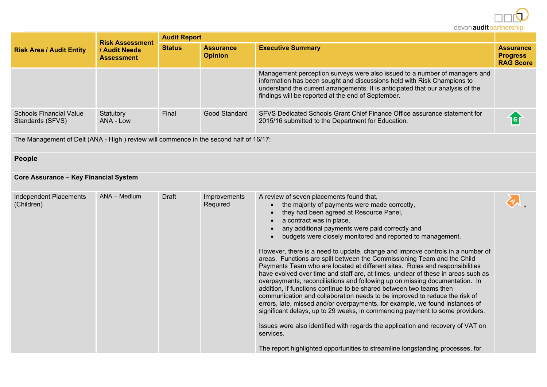

\*

| <b>Risk Area / Audit Entity</b>                    | <b>Risk Assessment</b><br>/ Audit Needs<br><b>Assessment</b> | <b>Audit Report</b> |               |                                                                                                                                                                                                                                                                                                |                          |  |  |
|----------------------------------------------------|--------------------------------------------------------------|---------------------|---------------|------------------------------------------------------------------------------------------------------------------------------------------------------------------------------------------------------------------------------------------------------------------------------------------------|--------------------------|--|--|
|                                                    |                                                              |                     |               | <b>Assurance</b><br><b>Opinion</b>                                                                                                                                                                                                                                                             | <b>Executive Summary</b> |  |  |
|                                                    |                                                              |                     |               | Management perception surveys were also issued to a number of managers and<br>information has been sought and discussions held with Risk Champions to<br>understand the current arrangements. It is anticipated that our analysis of the<br>findings will be reported at the end of September. |                          |  |  |
| <b>Schools Financial Value</b><br>Standards (SFVS) | Statutory<br>ANA - Low                                       | Final               | Good Standard | SFVS Dedicated Schools Grant Chief Finance Office assurance statement for<br>2015/16 submitted to the Department for Education.                                                                                                                                                                |                          |  |  |

The Management of Delt (ANA - High ) review will commence in the second half of 16/17:

# **People**

## **Core Assurance – Key Financial System**

| Independent Placements<br>(Children) | $ANA - Medium$ | Draft | Improvements<br>Required | A review of seven placements found that,<br>the majority of payments were made correctly,<br>$\bullet$<br>they had been agreed at Resource Panel,<br>a contract was in place,<br>any additional payments were paid correctly and<br>budgets were closely monitored and reported to management.<br>However, there is a need to update, change and improve controls in a number of<br>areas. Functions are split between the Commissioning Team and the Child<br>Payments Team who are located at different sites. Roles and responsibilities<br>have evolved over time and staff are, at times, unclear of these in areas such as<br>overpayments, reconciliations and following up on missing documentation. In<br>addition, if functions continue to be shared between two teams then<br>communication and collaboration needs to be improved to reduce the risk of<br>errors, late, missed and/or overpayments, for example, we found instances of<br>significant delays, up to 29 weeks, in commencing payment to some providers.<br>Issues were also identified with regards the application and recovery of VAT on<br>services.<br>The report highlighted opportunities to streamline longstanding processes, for |  |
|--------------------------------------|----------------|-------|--------------------------|------------------------------------------------------------------------------------------------------------------------------------------------------------------------------------------------------------------------------------------------------------------------------------------------------------------------------------------------------------------------------------------------------------------------------------------------------------------------------------------------------------------------------------------------------------------------------------------------------------------------------------------------------------------------------------------------------------------------------------------------------------------------------------------------------------------------------------------------------------------------------------------------------------------------------------------------------------------------------------------------------------------------------------------------------------------------------------------------------------------------------------------------------------------------------------------------------------------------|--|
|--------------------------------------|----------------|-------|--------------------------|------------------------------------------------------------------------------------------------------------------------------------------------------------------------------------------------------------------------------------------------------------------------------------------------------------------------------------------------------------------------------------------------------------------------------------------------------------------------------------------------------------------------------------------------------------------------------------------------------------------------------------------------------------------------------------------------------------------------------------------------------------------------------------------------------------------------------------------------------------------------------------------------------------------------------------------------------------------------------------------------------------------------------------------------------------------------------------------------------------------------------------------------------------------------------------------------------------------------|--|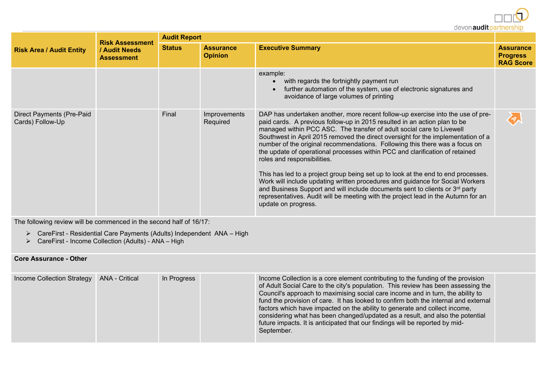devon audit partnership

|                                               | <b>Risk Assessment</b>             | <b>Audit Report</b> |                                    |                                                                                                                                                                                                                                                                                                                                                                                                                                                                                                                                                                                                                                                                                                                                                                                                                                                                                                       |                                                         |  |  |
|-----------------------------------------------|------------------------------------|---------------------|------------------------------------|-------------------------------------------------------------------------------------------------------------------------------------------------------------------------------------------------------------------------------------------------------------------------------------------------------------------------------------------------------------------------------------------------------------------------------------------------------------------------------------------------------------------------------------------------------------------------------------------------------------------------------------------------------------------------------------------------------------------------------------------------------------------------------------------------------------------------------------------------------------------------------------------------------|---------------------------------------------------------|--|--|
| <b>Risk Area / Audit Entity</b>               | / Audit Needs<br><b>Assessment</b> | <b>Status</b>       | <b>Assurance</b><br><b>Opinion</b> | <b>Executive Summary</b>                                                                                                                                                                                                                                                                                                                                                                                                                                                                                                                                                                                                                                                                                                                                                                                                                                                                              | <b>Assurance</b><br><b>Progress</b><br><b>RAG Score</b> |  |  |
|                                               |                                    |                     |                                    | example:<br>with regards the fortnightly payment run<br>$\bullet$<br>further automation of the system, use of electronic signatures and<br>avoidance of large volumes of printing                                                                                                                                                                                                                                                                                                                                                                                                                                                                                                                                                                                                                                                                                                                     |                                                         |  |  |
| Direct Payments (Pre-Paid<br>Cards) Follow-Up |                                    | Final               | Improvements<br>Required           | DAP has undertaken another, more recent follow-up exercise into the use of pre-<br>paid cards. A previous follow-up in 2015 resulted in an action plan to be<br>managed within PCC ASC. The transfer of adult social care to Livewell<br>Southwest in April 2015 removed the direct oversight for the implementation of a<br>number of the original recommendations. Following this there was a focus on<br>the update of operational processes within PCC and clarification of retained<br>roles and responsibilities.<br>This has led to a project group being set up to look at the end to end processes.<br>Work will include updating written procedures and guidance for Social Workers<br>and Business Support and will include documents sent to clients or 3 <sup>rd</sup> party<br>representatives. Audit will be meeting with the project lead in the Autumn for an<br>update on progress. | る                                                       |  |  |

The following review will be commenced in the second half of 16/17:

- CareFirst Residential Care Payments (Adults) Independent ANA High
- CareFirst Income Collection (Adults) ANA High

#### **Core Assurance - Other**

|--|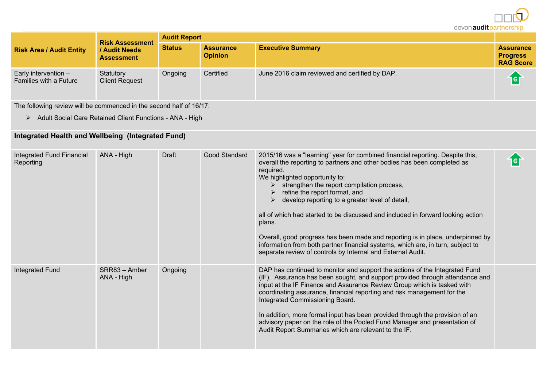devon audit partnership **Audit Report Risk Assessment Status Assurance Executive Summary Assurance Risk Area / Audit Entity / Audit Needs Progress Opinion Assessment RAG Score** Early intervention – **Statutory** Ongoing Certified June 2016 claim reviewed and certified by DAP. íd Families with a Future Client Request

The following review will be commenced in the second half of 16/17:

> Adult Social Care Retained Client Functions - ANA - High

# **Integrated Health and Wellbeing (Integrated Fund)**

| Integrated Fund Financial<br>Reporting | ANA - High                  | Draft   | Good Standard | 2015/16 was a "learning" year for combined financial reporting. Despite this,<br>overall the reporting to partners and other bodies has been completed as<br>required.<br>We highlighted opportunity to:<br>$\triangleright$ strengthen the report compilation process,<br>refine the report format, and<br>develop reporting to a greater level of detail,<br>➤<br>all of which had started to be discussed and included in forward looking action<br>plans.<br>Overall, good progress has been made and reporting is in place, underpinned by<br>information from both partner financial systems, which are, in turn, subject to<br>separate review of controls by Internal and External Audit. | <b>Iel</b> |
|----------------------------------------|-----------------------------|---------|---------------|---------------------------------------------------------------------------------------------------------------------------------------------------------------------------------------------------------------------------------------------------------------------------------------------------------------------------------------------------------------------------------------------------------------------------------------------------------------------------------------------------------------------------------------------------------------------------------------------------------------------------------------------------------------------------------------------------|------------|
| Integrated Fund                        | SRR83 - Amber<br>ANA - High | Ongoing |               | DAP has continued to monitor and support the actions of the Integrated Fund<br>(IF). Assurance has been sought, and support provided through attendance and<br>input at the IF Finance and Assurance Review Group which is tasked with<br>coordinating assurance, financial reporting and risk management for the<br>Integrated Commissioning Board.<br>In addition, more formal input has been provided through the provision of an<br>advisory paper on the role of the Pooled Fund Manager and presentation of<br>Audit Report Summaries which are relevant to the IF.                                                                                                                         |            |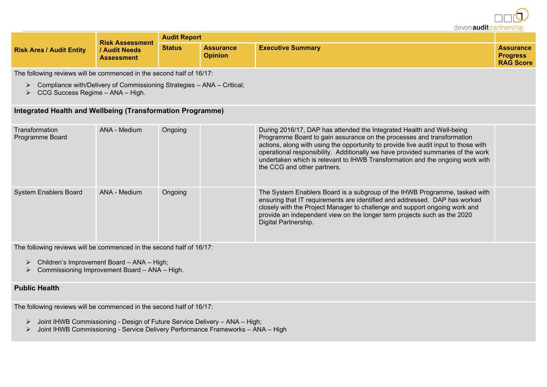devon audit partners

|                                 | <b>Risk Assessment</b>                    | <b>Audit Report</b> |                                    |                          |                                                         |
|---------------------------------|-------------------------------------------|---------------------|------------------------------------|--------------------------|---------------------------------------------------------|
| <b>Risk Area / Audit Entity</b> | <b>/ Audit Needs</b><br><b>Assessment</b> | <b>Status</b>       | <b>Assurance</b><br><b>Opinion</b> | <b>Executive Summary</b> | <b>Assurance</b><br><b>Progress</b><br><b>RAG Score</b> |

The following reviews will be commenced in the second half of 16/17:

- $\triangleright$  Compliance with/Delivery of Commissioning Strategies ANA Critical;
- $\triangleright$  CCG Success Regime ANA High.

#### **Integrated Health and Wellbeing (Transformation Programme)**

| Transformation<br>Programme Board | ANA - Medium | Ongoing | During 2016/17, DAP has attended the Integrated Health and Well-being<br>Programme Board to gain assurance on the processes and transformation<br>actions, along with using the opportunity to provide live audit input to those with<br>operational responsibility. Additionally we have provided summaries of the work<br>undertaken which is relevant to IHWB Transformation and the ongoing work with<br>the CCG and other partners. |  |
|-----------------------------------|--------------|---------|------------------------------------------------------------------------------------------------------------------------------------------------------------------------------------------------------------------------------------------------------------------------------------------------------------------------------------------------------------------------------------------------------------------------------------------|--|
| <b>System Enablers Board</b>      | ANA - Medium | Ongoing | The System Enablers Board is a subgroup of the IHWB Programme, tasked with<br>ensuring that IT requirements are identified and addressed. DAP has worked<br>closely with the Project Manager to challenge and support ongoing work and<br>provide an independent view on the longer term projects such as the 2020<br>Digital Partnership.                                                                                               |  |

The following reviews will be commenced in the second half of 16/17:

- $\triangleright$  Children's Improvement Board ANA High;
- $\triangleright$  Commissioning Improvement Board ANA High.

#### **Public Health**

The following reviews will be commenced in the second half of 16/17:

- Joint IHWB Commissioning Design of Future Service Delivery ANA High;
- Joint IHWB Commissioning Service Delivery Performance Frameworks ANA High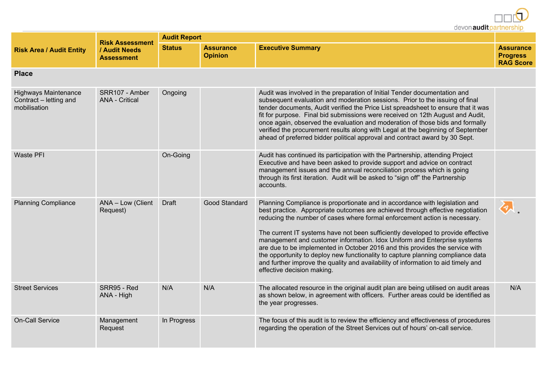devon audit partnership

|                                                                       | <b>Risk Assessment</b>                  | <b>Audit Report</b> |                                    |                                                                                                                                                                                                                                                                                                                                                                                                                                                                                                                                                                                                                                                                                                   |                                                         |
|-----------------------------------------------------------------------|-----------------------------------------|---------------------|------------------------------------|---------------------------------------------------------------------------------------------------------------------------------------------------------------------------------------------------------------------------------------------------------------------------------------------------------------------------------------------------------------------------------------------------------------------------------------------------------------------------------------------------------------------------------------------------------------------------------------------------------------------------------------------------------------------------------------------------|---------------------------------------------------------|
| <b>Risk Area / Audit Entity</b>                                       | / Audit Needs<br><b>Assessment</b>      | <b>Status</b>       | <b>Assurance</b><br><b>Opinion</b> | <b>Executive Summary</b>                                                                                                                                                                                                                                                                                                                                                                                                                                                                                                                                                                                                                                                                          | <b>Assurance</b><br><b>Progress</b><br><b>RAG Score</b> |
| <b>Place</b>                                                          |                                         |                     |                                    |                                                                                                                                                                                                                                                                                                                                                                                                                                                                                                                                                                                                                                                                                                   |                                                         |
| <b>Highways Maintenance</b><br>Contract - letting and<br>mobilisation | SRR107 - Amber<br><b>ANA - Critical</b> | Ongoing             |                                    | Audit was involved in the preparation of Initial Tender documentation and<br>subsequent evaluation and moderation sessions. Prior to the issuing of final<br>tender documents, Audit verified the Price List spreadsheet to ensure that it was<br>fit for purpose. Final bid submissions were received on 12th August and Audit,<br>once again, observed the evaluation and moderation of those bids and formally<br>verified the procurement results along with Legal at the beginning of September<br>ahead of preferred bidder political approval and contract award by 30 Sept.                                                                                                               |                                                         |
| <b>Waste PFI</b>                                                      |                                         | On-Going            |                                    | Audit has continued its participation with the Partnership, attending Project<br>Executive and have been asked to provide support and advice on contract<br>management issues and the annual reconciliation process which is going<br>through its first iteration. Audit will be asked to "sign off" the Partnership<br>accounts.                                                                                                                                                                                                                                                                                                                                                                 |                                                         |
| <b>Planning Compliance</b>                                            | ANA - Low (Client<br>Request)           | <b>Draft</b>        | Good Standard                      | Planning Compliance is proportionate and in accordance with legislation and<br>best practice. Appropriate outcomes are achieved through effective negotiation<br>reducing the number of cases where formal enforcement action is necessary.<br>The current IT systems have not been sufficiently developed to provide effective<br>management and customer information. Idox Uniform and Enterprise systems<br>are due to be implemented in October 2016 and this provides the service with<br>the opportunity to deploy new functionality to capture planning compliance data<br>and further improve the quality and availability of information to aid timely and<br>effective decision making. |                                                         |
| <b>Street Services</b>                                                | SRR95 - Red<br>ANA - High               | N/A                 | N/A                                | The allocated resource in the original audit plan are being utilised on audit areas<br>as shown below, in agreement with officers. Further areas could be identified as<br>the year progresses.                                                                                                                                                                                                                                                                                                                                                                                                                                                                                                   | N/A                                                     |
| <b>On-Call Service</b>                                                | Management<br>Request                   | In Progress         |                                    | The focus of this audit is to review the efficiency and effectiveness of procedures<br>regarding the operation of the Street Services out of hours' on-call service.                                                                                                                                                                                                                                                                                                                                                                                                                                                                                                                              |                                                         |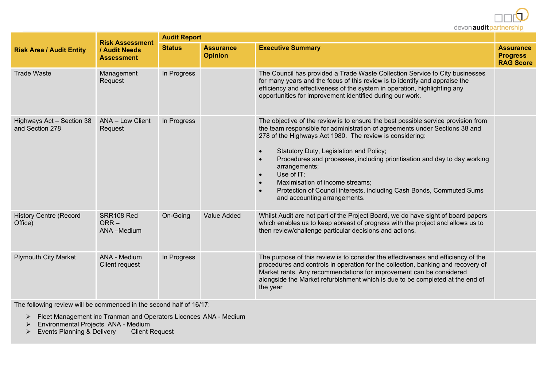

|                                              | <b>Risk Assessment</b><br>/ Audit Needs<br><b>Assessment</b> | <b>Audit Report</b> |                                    |                                                                                                                                                                                                                                                                                                                                                                                                                                                                                                                                                                       |                                                         |
|----------------------------------------------|--------------------------------------------------------------|---------------------|------------------------------------|-----------------------------------------------------------------------------------------------------------------------------------------------------------------------------------------------------------------------------------------------------------------------------------------------------------------------------------------------------------------------------------------------------------------------------------------------------------------------------------------------------------------------------------------------------------------------|---------------------------------------------------------|
| <b>Risk Area / Audit Entity</b>              |                                                              | <b>Status</b>       | <b>Assurance</b><br><b>Opinion</b> | <b>Executive Summary</b>                                                                                                                                                                                                                                                                                                                                                                                                                                                                                                                                              | <b>Assurance</b><br><b>Progress</b><br><b>RAG Score</b> |
| <b>Trade Waste</b>                           | Management<br>Request                                        | In Progress         |                                    | The Council has provided a Trade Waste Collection Service to City businesses<br>for many years and the focus of this review is to identify and appraise the<br>efficiency and effectiveness of the system in operation, highlighting any<br>opportunities for improvement identified during our work.                                                                                                                                                                                                                                                                 |                                                         |
| Highways Act - Section 38<br>and Section 278 | ANA - Low Client<br>Request                                  | In Progress         |                                    | The objective of the review is to ensure the best possible service provision from<br>the team responsible for administration of agreements under Sections 38 and<br>278 of the Highways Act 1980. The review is considering:<br>Statutory Duty, Legislation and Policy;<br>$\bullet$<br>Procedures and processes, including prioritisation and day to day working<br>arrangements;<br>Use of IT;<br>$\bullet$<br>Maximisation of income streams;<br>Protection of Council interests, including Cash Bonds, Commuted Sums<br>$\bullet$<br>and accounting arrangements. |                                                         |
| <b>History Centre (Record</b><br>Office)     | SRR108 Red<br>$ORR -$<br>ANA-Medium                          | On-Going            | <b>Value Added</b>                 | Whilst Audit are not part of the Project Board, we do have sight of board papers<br>which enables us to keep abreast of progress with the project and allows us to<br>then review/challenge particular decisions and actions.                                                                                                                                                                                                                                                                                                                                         |                                                         |
| <b>Plymouth City Market</b>                  | ANA - Medium<br>Client request                               | In Progress         |                                    | The purpose of this review is to consider the effectiveness and efficiency of the<br>procedures and controls in operation for the collection, banking and recovery of<br>Market rents. Any recommendations for improvement can be considered<br>alongside the Market refurbishment which is due to be completed at the end of<br>the year                                                                                                                                                                                                                             |                                                         |

The following review will be commenced in the second half of 16/17:

- Fleet Management inc Tranman and Operators Licences ANA Medium
- Environmental Projects ANA Medium
- $\triangleright$  Events Planning & Delivery Client Request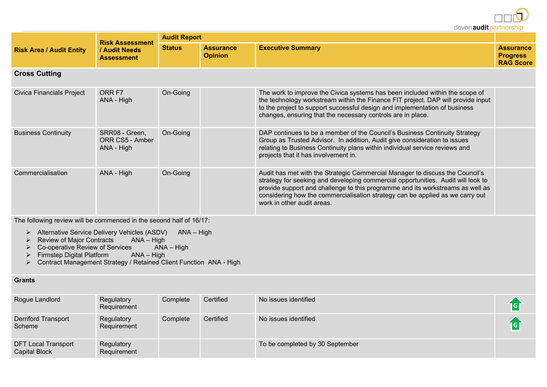devon audit partnership

| <b>Risk Area / Audit Entity</b> | <b>Risk Assessment</b><br>/ Audit Needs<br><b>Assessment</b> | <b>Audit Report</b> |                                    |                                                                                                                                                                                                                                                                                                                                                                   |                                                         |
|---------------------------------|--------------------------------------------------------------|---------------------|------------------------------------|-------------------------------------------------------------------------------------------------------------------------------------------------------------------------------------------------------------------------------------------------------------------------------------------------------------------------------------------------------------------|---------------------------------------------------------|
|                                 |                                                              | <b>Status</b>       | <b>Assurance</b><br><b>Opinion</b> | <b>Executive Summary</b>                                                                                                                                                                                                                                                                                                                                          | <b>Assurance</b><br><b>Progress</b><br><b>RAG Score</b> |
| <b>Cross Cutting</b>            |                                                              |                     |                                    |                                                                                                                                                                                                                                                                                                                                                                   |                                                         |
| Civica Financials Project       | ORR F7<br>ANA - High                                         | On-Going            |                                    | The work to improve the Civica systems has been included within the scope of<br>the technology workstream within the Finance FIT project. DAP will provide input<br>to the project to support successful design and implementation of business<br>changes, ensuring that the necessary controls are in place.                                                     |                                                         |
| <b>Business Continuity</b>      | SRR08 - Green,<br>ORR CS5 - Amber<br>ANA - High              | On-Going            |                                    | DAP continues to be a member of the Council's Business Continuity Strategy<br>Group as Trusted Advisor. In addition, Audit give consideration to issues<br>relating to Business Continuity plans within individual service reviews and<br>projects that it has involvement in.                                                                                    |                                                         |
| Commercialisation               | ANA - High                                                   | On-Going            |                                    | Audit has met with the Strategic Commercial Manager to discuss the Council's<br>strategy for seeking and developing commercial opportunities. Audit will look to<br>provide support and challenge to this programme and its workstreams as well as<br>considering how the commercialisation strategy can be applied as we carry out<br>work in other audit areas. |                                                         |

The following review will be commenced in the second half of 16/17:

▶ Alternative Service Delivery Vehicles (ASDV) ANA – High

- $\triangleright$  Review of Major Contracts ANA High
- $\triangleright$  Co-operative Review of Services ANA High
- Firmstep Digital Platform ANA High
- Contract Management Strategy / Retained Client Function ANA High

#### **Grants**

| Rogue Landlord                                     | Regulatory<br>Requirement | Complete | Certified | No issues identified            |  |
|----------------------------------------------------|---------------------------|----------|-----------|---------------------------------|--|
| <b>Derriford Transport</b><br>Scheme               | Regulatory<br>Requirement | Complete | Certified | No issues identified            |  |
| <b>DFT Local Transport</b><br><b>Capital Block</b> | Regulatory<br>Requirement |          |           | To be completed by 30 September |  |